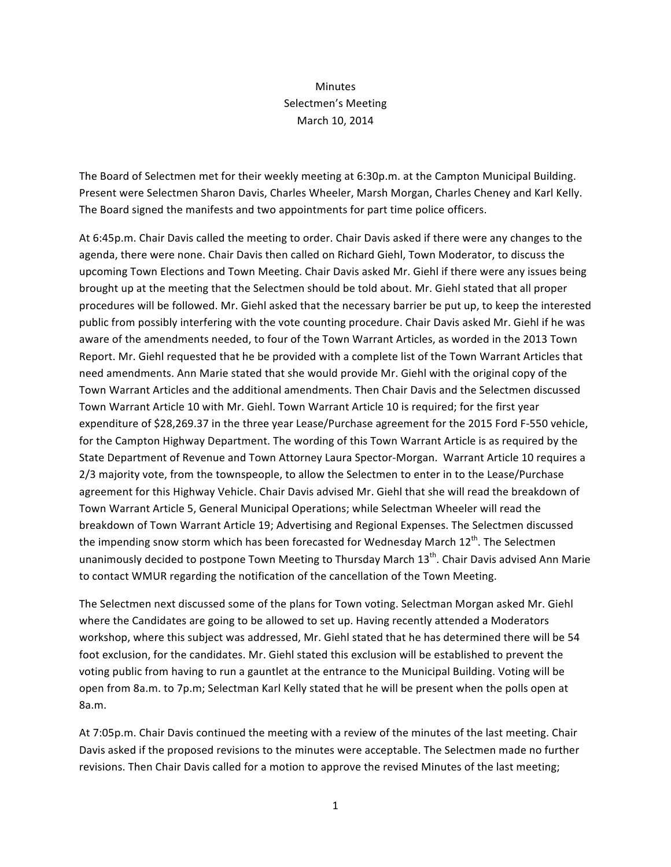## Minutes Selectmen's Meeting March 10, 2014

The Board of Selectmen met for their weekly meeting at 6:30p.m. at the Campton Municipal Building. Present were Selectmen Sharon Davis, Charles Wheeler, Marsh Morgan, Charles Cheney and Karl Kelly. The Board signed the manifests and two appointments for part time police officers.

At 6:45p.m. Chair Davis called the meeting to order. Chair Davis asked if there were any changes to the agenda, there were none. Chair Davis then called on Richard Giehl, Town Moderator, to discuss the upcoming Town Elections and Town Meeting. Chair Davis asked Mr. Giehl if there were any issues being brought up at the meeting that the Selectmen should be told about. Mr. Giehl stated that all proper procedures will be followed. Mr. Giehl asked that the necessary barrier be put up, to keep the interested public from possibly interfering with the vote counting procedure. Chair Davis asked Mr. Giehl if he was aware of the amendments needed, to four of the Town Warrant Articles, as worded in the 2013 Town Report. Mr. Giehl requested that he be provided with a complete list of the Town Warrant Articles that need amendments. Ann Marie stated that she would provide Mr. Giehl with the original copy of the Town Warrant Articles and the additional amendments. Then Chair Davis and the Selectmen discussed Town Warrant Article 10 with Mr. Giehl. Town Warrant Article 10 is required; for the first year expenditure of \$28,269.37 in the three year Lease/Purchase agreement for the 2015 Ford F-550 vehicle, for the Campton Highway Department. The wording of this Town Warrant Article is as required by the State Department of Revenue and Town Attorney Laura Spector-Morgan. Warrant Article 10 requires a 2/3 majority vote, from the townspeople, to allow the Selectmen to enter in to the Lease/Purchase agreement for this Highway Vehicle. Chair Davis advised Mr. Giehl that she will read the breakdown of Town Warrant Article 5, General Municipal Operations; while Selectman Wheeler will read the breakdown of Town Warrant Article 19; Advertising and Regional Expenses. The Selectmen discussed the impending snow storm which has been forecasted for Wednesday March  $12^{th}$ . The Selectmen unanimously decided to postpone Town Meeting to Thursday March  $13<sup>th</sup>$ . Chair Davis advised Ann Marie to contact WMUR regarding the notification of the cancellation of the Town Meeting.

The Selectmen next discussed some of the plans for Town voting. Selectman Morgan asked Mr. Giehl where the Candidates are going to be allowed to set up. Having recently attended a Moderators workshop, where this subject was addressed, Mr. Giehl stated that he has determined there will be 54 foot exclusion, for the candidates. Mr. Giehl stated this exclusion will be established to prevent the voting public from having to run a gauntlet at the entrance to the Municipal Building. Voting will be open from 8a.m. to 7p.m; Selectman Karl Kelly stated that he will be present when the polls open at 8a.m.

At 7:05p.m. Chair Davis continued the meeting with a review of the minutes of the last meeting. Chair Davis asked if the proposed revisions to the minutes were acceptable. The Selectmen made no further revisions. Then Chair Davis called for a motion to approve the revised Minutes of the last meeting;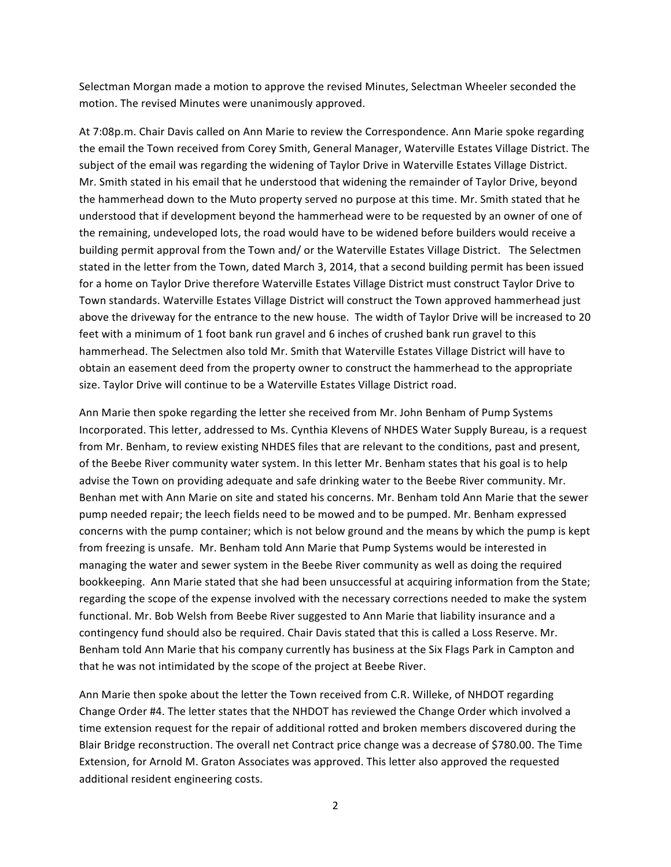Selectman Morgan made a motion to approve the revised Minutes, Selectman Wheeler seconded the motion. The revised Minutes were unanimously approved.

At 7:08p.m. Chair Davis called on Ann Marie to review the Correspondence. Ann Marie spoke regarding the email the Town received from Corey Smith, General Manager, Waterville Estates Village District. The subject of the email was regarding the widening of Taylor Drive in Waterville Estates Village District. Mr. Smith stated in his email that he understood that widening the remainder of Taylor Drive, beyond the hammerhead down to the Muto property served no purpose at this time. Mr. Smith stated that he understood that if development beyond the hammerhead were to be requested by an owner of one of the remaining, undeveloped lots, the road would have to be widened before builders would receive a building permit approval from the Town and/ or the Waterville Estates Village District. The Selectmen stated in the letter from the Town, dated March 3, 2014, that a second building permit has been issued for a home on Taylor Drive therefore Waterville Estates Village District must construct Taylor Drive to Town standards. Waterville Estates Village District will construct the Town approved hammerhead just above the driveway for the entrance to the new house. The width of Taylor Drive will be increased to 20 feet with a minimum of 1 foot bank run gravel and 6 inches of crushed bank run gravel to this hammerhead. The Selectmen also told Mr. Smith that Waterville Estates Village District will have to obtain an easement deed from the property owner to construct the hammerhead to the appropriate size. Taylor Drive will continue to be a Waterville Estates Village District road.

Ann Marie then spoke regarding the letter she received from Mr. John Benham of Pump Systems Incorporated. This letter, addressed to Ms. Cynthia Klevens of NHDES Water Supply Bureau, is a request from Mr. Benham, to review existing NHDES files that are relevant to the conditions, past and present, of the Beebe River community water system. In this letter Mr. Benham states that his goal is to help advise the Town on providing adequate and safe drinking water to the Beebe River community. Mr. Benhan met with Ann Marie on site and stated his concerns. Mr. Benham told Ann Marie that the sewer pump needed repair; the leech fields need to be mowed and to be pumped. Mr. Benham expressed concerns with the pump container; which is not below ground and the means by which the pump is kept from freezing is unsafe. Mr. Benham told Ann Marie that Pump Systems would be interested in managing the water and sewer system in the Beebe River community as well as doing the required bookkeeping. Ann Marie stated that she had been unsuccessful at acquiring information from the State; regarding the scope of the expense involved with the necessary corrections needed to make the system functional. Mr. Bob Welsh from Beebe River suggested to Ann Marie that liability insurance and a contingency fund should also be required. Chair Davis stated that this is called a Loss Reserve. Mr. Benham told Ann Marie that his company currently has business at the Six Flags Park in Campton and that he was not intimidated by the scope of the project at Beebe River.

Ann Marie then spoke about the letter the Town received from C.R. Willeke, of NHDOT regarding Change Order #4. The letter states that the NHDOT has reviewed the Change Order which involved a time extension request for the repair of additional rotted and broken members discovered during the Blair Bridge reconstruction. The overall net Contract price change was a decrease of \$780.00. The Time Extension, for Arnold M. Graton Associates was approved. This letter also approved the requested additional resident engineering costs.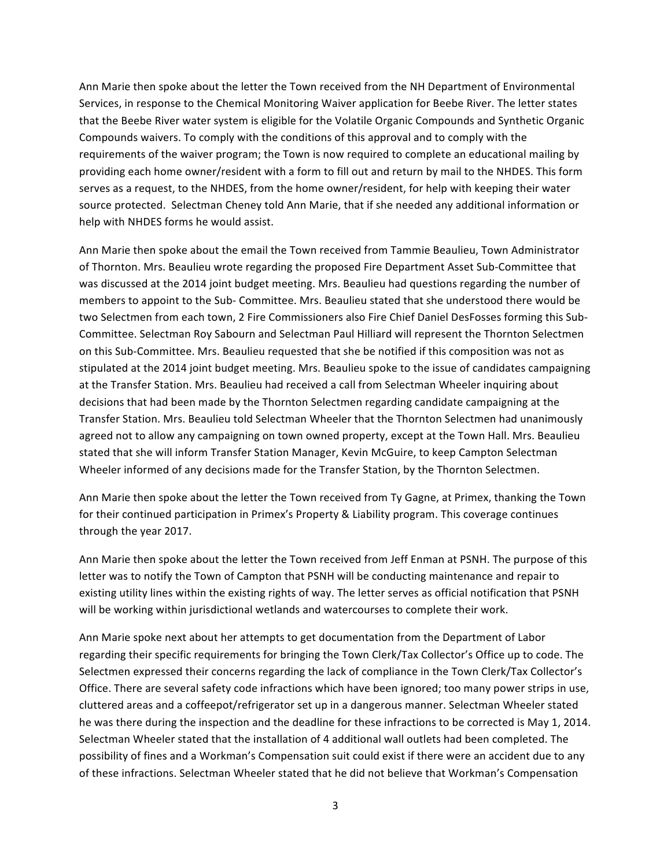Ann Marie then spoke about the letter the Town received from the NH Department of Environmental Services, in response to the Chemical Monitoring Waiver application for Beebe River. The letter states that the Beebe River water system is eligible for the Volatile Organic Compounds and Synthetic Organic Compounds waivers. To comply with the conditions of this approval and to comply with the requirements of the waiver program; the Town is now required to complete an educational mailing by providing each home owner/resident with a form to fill out and return by mail to the NHDES. This form serves as a request, to the NHDES, from the home owner/resident, for help with keeping their water source protected. Selectman Cheney told Ann Marie, that if she needed any additional information or help with NHDES forms he would assist.

Ann Marie then spoke about the email the Town received from Tammie Beaulieu, Town Administrator of Thornton. Mrs. Beaulieu wrote regarding the proposed Fire Department Asset Sub-Committee that was discussed at the 2014 joint budget meeting. Mrs. Beaulieu had questions regarding the number of members to appoint to the Sub- Committee. Mrs. Beaulieu stated that she understood there would be two Selectmen from each town, 2 Fire Commissioners also Fire Chief Daniel DesFosses forming this Sub-Committee. Selectman Roy Sabourn and Selectman Paul Hilliard will represent the Thornton Selectmen on this Sub-Committee. Mrs. Beaulieu requested that she be notified if this composition was not as stipulated at the 2014 joint budget meeting. Mrs. Beaulieu spoke to the issue of candidates campaigning at the Transfer Station. Mrs. Beaulieu had received a call from Selectman Wheeler inquiring about decisions that had been made by the Thornton Selectmen regarding candidate campaigning at the Transfer Station. Mrs. Beaulieu told Selectman Wheeler that the Thornton Selectmen had unanimously agreed not to allow any campaigning on town owned property, except at the Town Hall. Mrs. Beaulieu stated that she will inform Transfer Station Manager, Kevin McGuire, to keep Campton Selectman Wheeler informed of any decisions made for the Transfer Station, by the Thornton Selectmen.

Ann Marie then spoke about the letter the Town received from Ty Gagne, at Primex, thanking the Town for their continued participation in Primex's Property & Liability program. This coverage continues through the year 2017.

Ann Marie then spoke about the letter the Town received from Jeff Enman at PSNH. The purpose of this letter was to notify the Town of Campton that PSNH will be conducting maintenance and repair to existing utility lines within the existing rights of way. The letter serves as official notification that PSNH will be working within jurisdictional wetlands and watercourses to complete their work.

Ann Marie spoke next about her attempts to get documentation from the Department of Labor regarding their specific requirements for bringing the Town Clerk/Tax Collector's Office up to code. The Selectmen expressed their concerns regarding the lack of compliance in the Town Clerk/Tax Collector's Office. There are several safety code infractions which have been ignored; too many power strips in use, cluttered areas and a coffeepot/refrigerator set up in a dangerous manner. Selectman Wheeler stated he was there during the inspection and the deadline for these infractions to be corrected is May 1, 2014. Selectman Wheeler stated that the installation of 4 additional wall outlets had been completed. The possibility of fines and a Workman's Compensation suit could exist if there were an accident due to any of these infractions. Selectman Wheeler stated that he did not believe that Workman's Compensation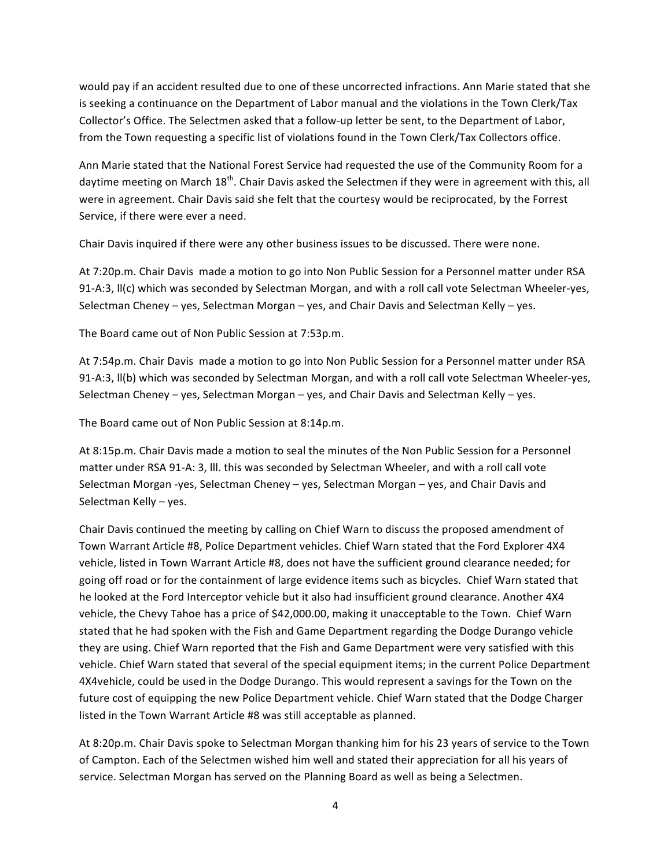would pay if an accident resulted due to one of these uncorrected infractions. Ann Marie stated that she is seeking a continuance on the Department of Labor manual and the violations in the Town Clerk/Tax Collector's Office. The Selectmen asked that a follow-up letter be sent, to the Department of Labor, from the Town requesting a specific list of violations found in the Town Clerk/Tax Collectors office.

Ann Marie stated that the National Forest Service had requested the use of the Community Room for a daytime meeting on March 18<sup>th</sup>. Chair Davis asked the Selectmen if they were in agreement with this, all were in agreement. Chair Davis said she felt that the courtesy would be reciprocated, by the Forrest Service, if there were ever a need.

Chair Davis inquired if there were any other business issues to be discussed. There were none.

At 7:20p.m. Chair Davis made a motion to go into Non Public Session for a Personnel matter under RSA 91-A:3, II(c) which was seconded by Selectman Morgan, and with a roll call vote Selectman Wheeler-yes, Selectman Cheney – yes, Selectman Morgan – yes, and Chair Davis and Selectman Kelly – yes.

The Board came out of Non Public Session at 7:53p.m.

At 7:54p.m. Chair Davis made a motion to go into Non Public Session for a Personnel matter under RSA 91-A:3, II(b) which was seconded by Selectman Morgan, and with a roll call vote Selectman Wheeler-yes, Selectman Cheney – yes, Selectman Morgan – yes, and Chair Davis and Selectman Kelly – yes.

The Board came out of Non Public Session at 8:14p.m.

At 8:15p.m. Chair Davis made a motion to seal the minutes of the Non Public Session for a Personnel matter under RSA 91-A: 3, III. this was seconded by Selectman Wheeler, and with a roll call vote Selectman Morgan -yes, Selectman Cheney – yes, Selectman Morgan – yes, and Chair Davis and Selectman Kelly - yes.

Chair Davis continued the meeting by calling on Chief Warn to discuss the proposed amendment of Town Warrant Article #8, Police Department vehicles. Chief Warn stated that the Ford Explorer 4X4 vehicle, listed in Town Warrant Article #8, does not have the sufficient ground clearance needed; for going off road or for the containment of large evidence items such as bicycles. Chief Warn stated that he looked at the Ford Interceptor vehicle but it also had insufficient ground clearance. Another 4X4 vehicle, the Chevy Tahoe has a price of \$42,000.00, making it unacceptable to the Town. Chief Warn stated that he had spoken with the Fish and Game Department regarding the Dodge Durango vehicle they are using. Chief Warn reported that the Fish and Game Department were very satisfied with this vehicle. Chief Warn stated that several of the special equipment items; in the current Police Department 4X4vehicle, could be used in the Dodge Durango. This would represent a savings for the Town on the future cost of equipping the new Police Department vehicle. Chief Warn stated that the Dodge Charger listed in the Town Warrant Article #8 was still acceptable as planned.

At 8:20p.m. Chair Davis spoke to Selectman Morgan thanking him for his 23 years of service to the Town of Campton. Each of the Selectmen wished him well and stated their appreciation for all his years of service. Selectman Morgan has served on the Planning Board as well as being a Selectmen.